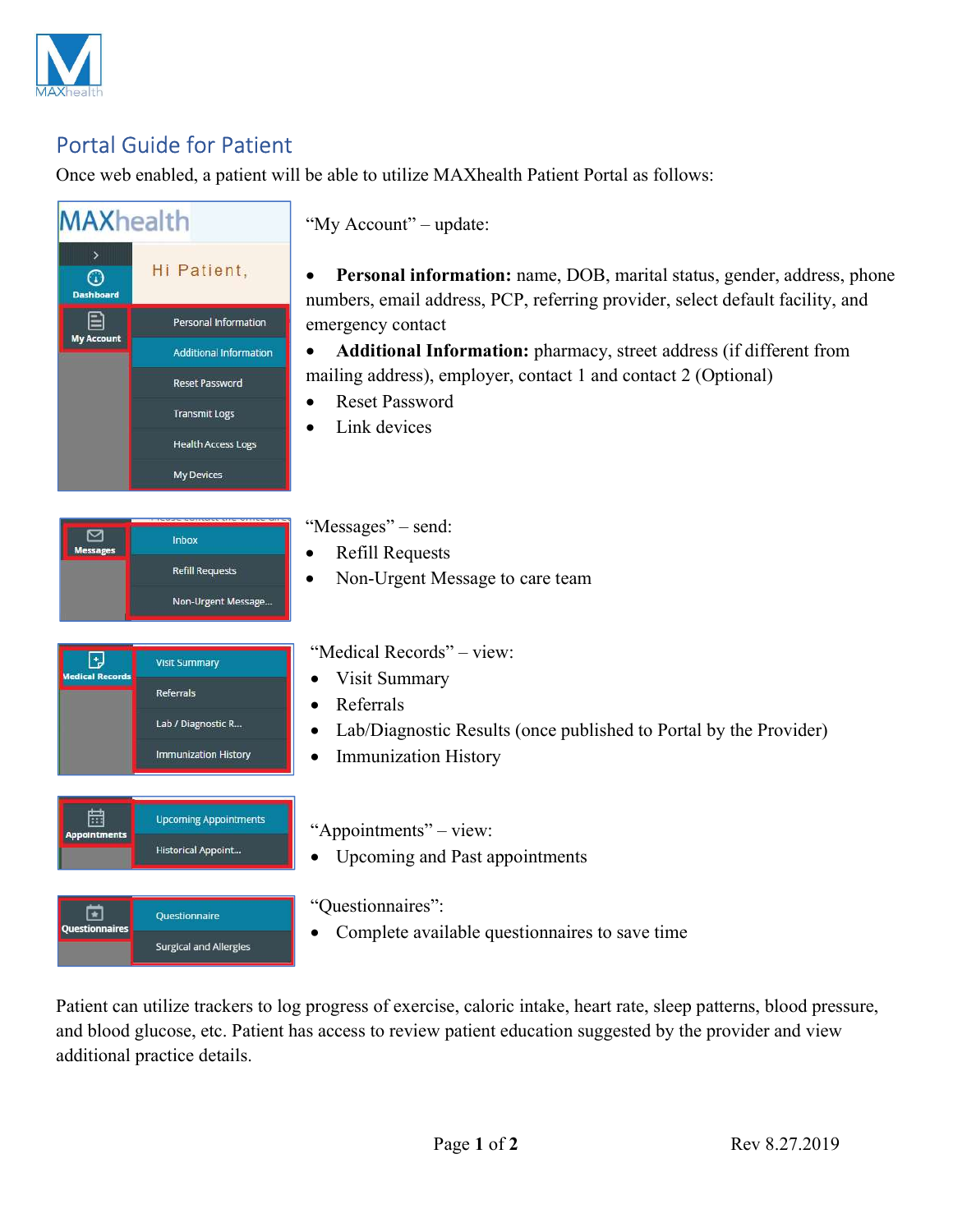

## Portal Guide for Patient

Once web enabled, a patient will be able to utilize MAXhealth Patient Portal as follows:

## **MAXhealth** "My Account" – update: Hi Patient, Personal information: name, DOB, marital status, gender, address, phone  $\odot$ Dashboard numbers, email address, PCP, referring provider, select default facility, and 目 Personal Information emergency contact My Account Additional Information • Additional Information: pharmacy, street address (if different from mailing address), employer, contact 1 and contact 2 (Optional) **Reset Password**  Reset Password **Transmit Logs**  Link devices **Health Access Logs** My Devices "Messages" – send:  $\Box$ Inbox **Messages** • Refill Requests **Refill Requests**  Non-Urgent Message to care team Non-Urgent Message... "Medical Records" – view: ⊡ **Visit Summary** dical Record Visit Summary **Referrals** • Referrals Lab / Diagnostic R... Lab/Diagnostic Results (once published to Portal by the Provider) Immunization History • Immunization History 置 **Upcoming Appointments** "Appointments" – view: **Historical Appoint...** • Upcoming and Past appointments "Questionnaires": ⊡ Questionnaire Questionnaires Complete available questionnaires to save time **Surgical and Allergies**

Patient can utilize trackers to log progress of exercise, caloric intake, heart rate, sleep patterns, blood pressure, and blood glucose, etc. Patient has access to review patient education suggested by the provider and view additional practice details.